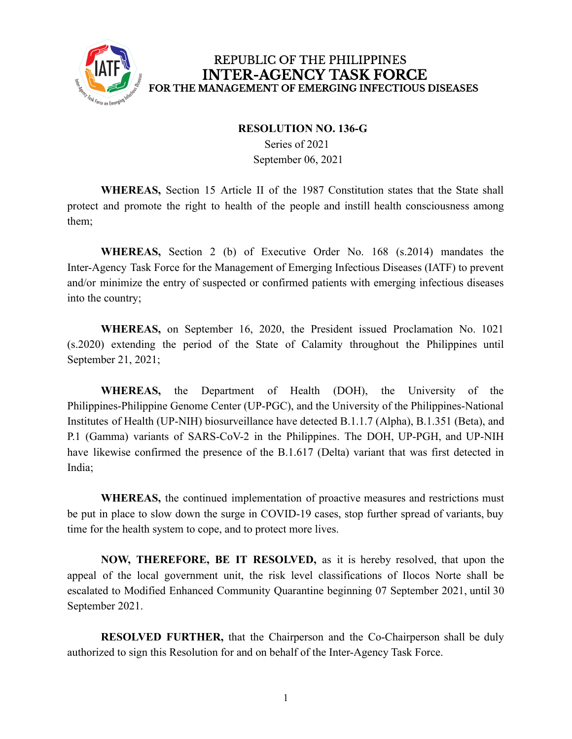

## REPUBLIC OF THE PHILIPPINES **INTER-AGENCY TASK FORCE** FOR THE MANAGEMENT OF EMERGING INFECTIOUS DISEASES

## **RESOLUTION NO. 136-G**

Series of 2021 September 06, 2021

**WHEREAS,** Section 15 Article II of the 1987 Constitution states that the State shall protect and promote the right to health of the people and instill health consciousness among them;

**WHEREAS,** Section 2 (b) of Executive Order No. 168 (s.2014) mandates the Inter-Agency Task Force for the Management of Emerging Infectious Diseases (IATF) to prevent and/or minimize the entry of suspected or confirmed patients with emerging infectious diseases into the country;

**WHEREAS,** on September 16, 2020, the President issued Proclamation No. 1021 (s.2020) extending the period of the State of Calamity throughout the Philippines until September 21, 2021;

**WHEREAS,** the Department of Health (DOH), the University of the Philippines-Philippine Genome Center (UP-PGC), and the University of the Philippines-National Institutes of Health (UP-NIH) biosurveillance have detected B.1.1.7 (Alpha), B.1.351 (Beta), and P.1 (Gamma) variants of SARS-CoV-2 in the Philippines. The DOH, UP-PGH, and UP-NIH have likewise confirmed the presence of the B.1.617 (Delta) variant that was first detected in India;

**WHEREAS,** the continued implementation of proactive measures and restrictions must be put in place to slow down the surge in COVID-19 cases, stop further spread of variants, buy time for the health system to cope, and to protect more lives.

**NOW, THEREFORE, BE IT RESOLVED,** as it is hereby resolved, that upon the appeal of the local government unit, the risk level classifications of Ilocos Norte shall be escalated to Modified Enhanced Community Quarantine beginning 07 September 2021, until 30 September 2021.

**RESOLVED FURTHER,** that the Chairperson and the Co-Chairperson shall be duly authorized to sign this Resolution for and on behalf of the Inter-Agency Task Force.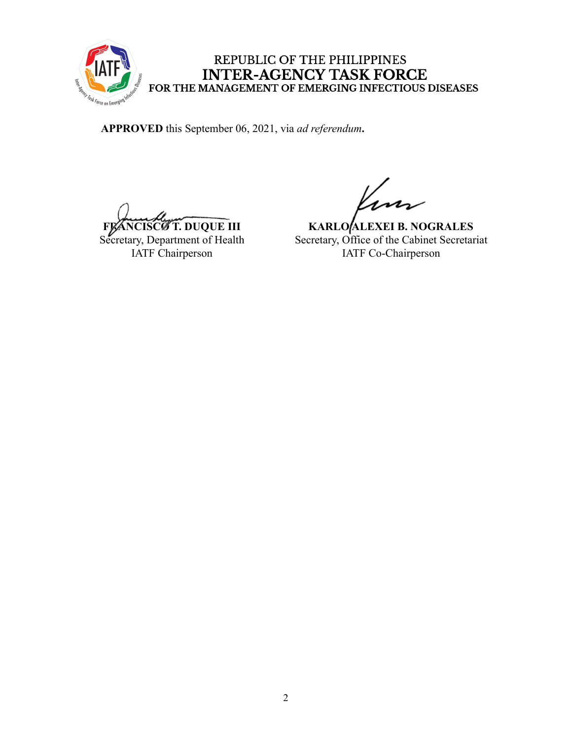

## REPUBLIC OF THE PHILIPPINES INTER-AGENCY TASK FORCE<br>FOR THE MANAGEMENT OF EMERGING INFECTIOUS DISEASES

**APPROVED** this September 06, 2021, via *ad referendum***.**

**FRANCISCO T. DUQUE III** 

Secretary, Department of Health IATF Chairperson

**KARLO ALEXEI B. NOGRALES** Secretary, Office of the Cabinet Secretariat IATF Co-Chairperson